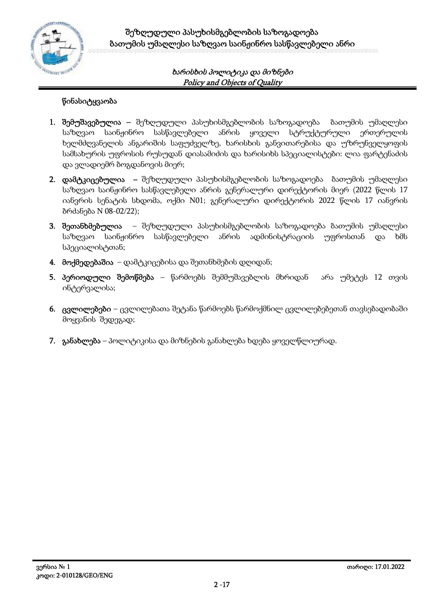

# **წინასიტყვაობა**

- **1. შემუშავებულია –** შეზღუდული პასუხისმგებლობის საზოგადოება ბათუმის უმაღლესი საზღვაო საინჟინრო სასწავლებელი ანრის ყოველი სტრუქტურული ერთერულის ხელმძღვანელის ანგარიშის საფუძველზე, ხარისხის განვითარებისა და უზრუნველყოფის სამსახურის უფროსის რუსუდან დიასამიძის და ხარისიხს სპეციალისტები: ლია ფარტენაძის და ვლადიემრ ბოგდანოვის მიერ;
- **2. დამტკიცებულია –** შეზღუდული პასუხისმგებლობის საზოგადოება ბათუმის უმაღლესი საზღვაო საინჟინრო სასწავლებელი ანრის გენერალური დირექტორის მიერ (2022 წლის 17 იანვრის სენატის სხდომა, ოქმი N01; გენერალური დირექტორის 2022 წლის 17 იანვრის ბრძანება N 08-02/22);
- **3. შეთანხმებულია** შეზღუდული პასუხისმგებლობის საზოგადოება ბათუმის უმაღლესი საზღვაო საინჟინრო სასწავლებელი ანრის ადმინისტრაციის უფროსთან და ხმს სპეციალისტთან;
- **4. მოქმედებაშია** დამტკიცებისა და შეთანხმების დღიდან;
- **5. პერიოდული შემოწმება** წარმოებს შემმუშავებლის მხრიდან არა უმეტეს 12 თვის ინტერვალისა;
- **6. ცვლილებები** ცვლილებათა შეტანა წარმოებს წარმოქმნილ ცვლილებებეთან თავსებადობაში მოყვანის შედეგად;
- **7. განახლება** პოლიტიკისა და მიზნების განახლება ხდება ყოველწლიურად.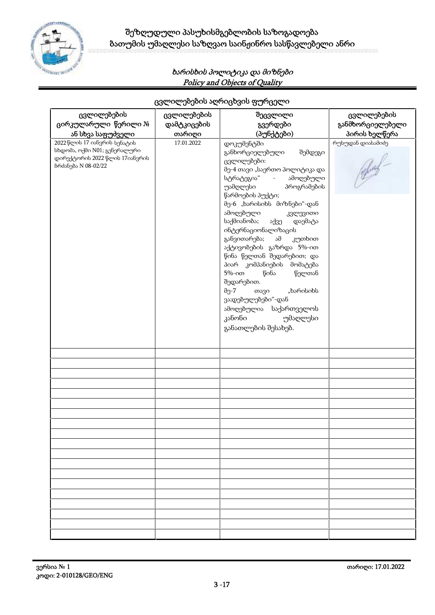

| ცვლილებების                    | ცვლილებების | შეცვლილი                                  | ცვლილებების       |
|--------------------------------|-------------|-------------------------------------------|-------------------|
| ცირკულარული წერილი №           | დამტკიცების | გვერდები                                  | განმხორციელებელი  |
|                                |             |                                           |                   |
| ან სხვა საფუძველი              | თარიღი      | (პუნქტები)                                | პირის ხელწერა     |
| 2022 წლის 17 იანვრის სენატის   | 17.01.2022  | დოკუმენტში                                | რუსუდან დიასამიძე |
| სხდომა, ოქმი N01; გენერალური   |             | განხორციელებული<br>შემდეგი                |                   |
| დირექტორის 2022 წლის 17იანვრის |             | ცვლილებები:                               |                   |
| ბრძანება N 08-02/22            |             | მე-4 თავი "საერთო პოლიტიკა და             |                   |
|                                |             | სტრატეგია" - ამოღებული                    |                   |
|                                |             |                                           |                   |
|                                |             | უამღლესი<br>პროგრამების                   |                   |
|                                |             | წარმოების პუქტი;                          |                   |
|                                |             | მე-6 "ხარისიხს მიზნები"-დან               |                   |
|                                |             | ამოღებული<br>კვლევითი                     |                   |
|                                |             | საქმიანობა; აქვე<br>დაემატა               |                   |
|                                |             | ინტერნაციონალიზაცის                       |                   |
|                                |             | განვითარება;<br>ამ<br>კუთხით              |                   |
|                                |             | აქტივობების გაზრდა 5%-ით                  |                   |
|                                |             |                                           |                   |
|                                |             | წინა წელთან შედარებით; და                 |                   |
|                                |             | პიარ კომპანიების მომატება                 |                   |
|                                |             | $5% - 000$<br>წინა<br>წელთან              |                   |
|                                |             | შედარებით.                                |                   |
|                                |             | "ხარისიხს<br>$\partial \gamma$ -7<br>თავი |                   |
|                                |             | ვა;დებულებები"-დან                        |                   |
|                                |             | ამოღებულია საქართველოს                    |                   |
|                                |             |                                           |                   |
|                                |             | კანონი<br>უმაღლესი                        |                   |
|                                |             | განათლების შესახებ.                       |                   |
|                                |             |                                           |                   |
|                                |             |                                           |                   |
|                                |             |                                           |                   |
|                                |             |                                           |                   |
|                                |             |                                           |                   |
|                                |             |                                           |                   |
|                                |             |                                           |                   |
|                                |             |                                           |                   |
|                                |             |                                           |                   |
|                                |             |                                           |                   |
|                                |             |                                           |                   |
|                                |             |                                           |                   |
|                                |             |                                           |                   |
|                                |             |                                           |                   |
|                                |             |                                           |                   |
|                                |             |                                           |                   |
|                                |             |                                           |                   |
|                                |             |                                           |                   |
|                                |             |                                           |                   |
|                                |             |                                           |                   |
|                                |             |                                           |                   |

# **ცვლილებების აღრიცხვის ფურცელი**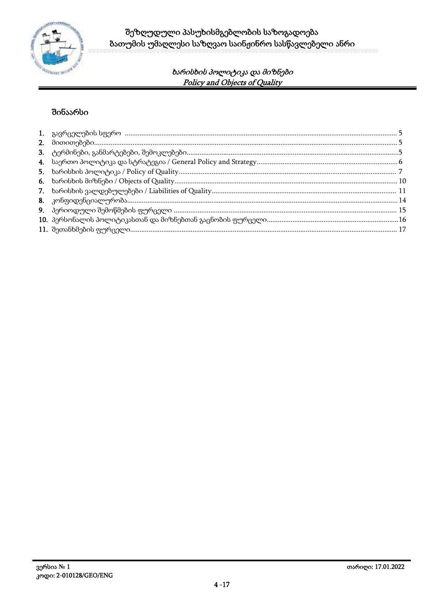

# შინაარსი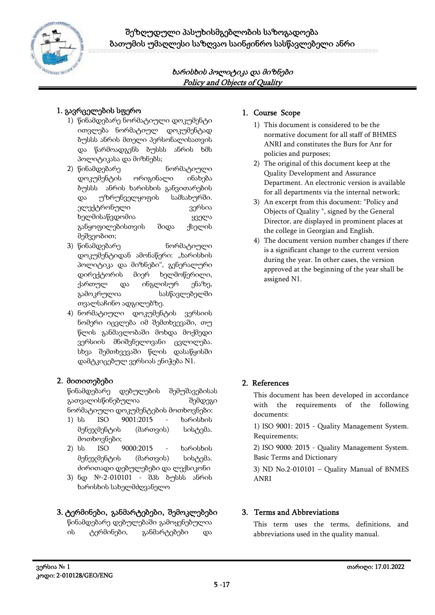

# **1. გავრცელების სფერო**

- 1) წინამდებარე ნორმატიული დოკუმენტი ითვლება ნორმატიულ დოკუმენტად ბუსსს ანრის მთელი პერსონალისათვის და წარმოადგენს ბუსსს ანრის ხმს პოლიტიკასა და მიზნებს;
- 2) წინამდებარე ნორმატიული დოკუმენტის ორიგინალი ინახება ბუსსს ანრის ხარისხის განვითარების და უზრუნველყოფის სამსახურში. ელექტრონული ვერსია ხელმისაწვდომია ყველა განყოფილებისთვის შიდა ქსელის მეშვეობით;
- 3) წინამდებარე ნორმატიული დოკუმენტიდან ამონაწერი: "ხარისხის პოლიტიკა და მიზნები", გენერალური დირექტორის მიერ ხელმოწერილი, ქართულ და ინგლისურ ენაზე, გამოკრულია სასწავლებელში თვალსაჩინო ადგილებზე.
- 4) ნორმატიული დოკუმენტის ვერსიის ნომერი იცვლება იმ შემთხვევაში, თუ წლის განმავლობაში მოხდა მოქმედი ვერსიის მნიშვნელოვანი ცვლილება. სხვა შემთხვევაში წლის დასაწყისში დამტკიცებულ ვერსიას ენიჭება N1.

# **2. მითითებები**

წინამდებარე დებულების შემუშავებისას გათვალისწინებულია შემდეგი ნორმატიული დოკუმენტების მოთხოვნები:

- 1) სს ISO 9001:2015 ხარისხის მენეჯმენტის (მართვის) სისტემა. მოთხოვნები;
- 2) სს ISO 9000:2015 ხარისხის მენეჯმენტის (მართვის) სისტემა. ძირითადი დებულებები და ლექსიკონი
- 3) ნდ №-2-010101 შპს ბუსსს ანრის ხარისხის სახელმძღვანელო

# **3. ტერმინები, განმარტებები, შემოკლებები**

წინამდებარე დებულებაში გამოყენებულია ის ტერმინები, განმარტებები და

## **1. Course Scope**

- 1) This document is considered to be the normative document for all staff of BHMES ANRI and constitutes the Burs for Anr for policies and purposes;
- 2) The original of this document keep at the Quality Development and Assurance Department. An electronic version is available for all departments via the internal network;
- 3) An excerpt from this document: "Policy and Objects of Quality ", signed by the General Director, are displayed in prominent places at the college in Georgian and English.
- 4) The document version number changes if there is a significant change to the current version during the year. In other cases, the version approved at the beginning of the year shall be assigned N1.

# **2. References**

This document has been developed in accordance with the requirements of the following documents:

1) ISO 9001: 2015 - Quality Management System. Requirements;

2) ISO 9000: 2015 - Quality Management System. Basic Terms and Dictionary

3) ND No.2-010101 – Quality Manual of BNMES ANRI

#### **3. Terms and Abbreviations**

This term uses the terms, definitions, and abbreviations used in the quality manual.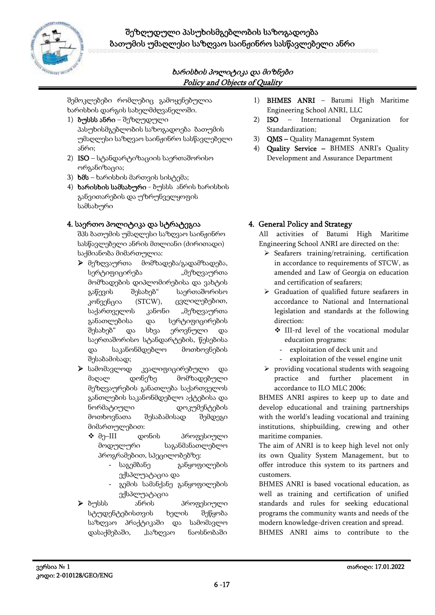

შემოკლებები რომლებიც გამოყენებულია ხარისხის დარგის სახელმძღვანელოში.

- 1) **ბუსსს ანრი** შეზღუდული პასუხისმგებლობის საზოგადოება ბათუმის უმაღლესი საზღვაო საინჟინრო სასწავლებელი ანრი;
- 2) **ISO** სტანდარტიზაციის საერთაშორისო ორგანიზაცია;
- 3) **ხმს** ხარისხის მართვის სისტემა;
- 4) **ხარისხის სამსახური** ბუსსს ანრის ხარისხის განვითარების და უზრუნველყოფის სამსახური

#### **4. საერთო პოლიტიკა და სტრატეგია**

შპს ბათუმის უმაღლესი საზღვაო საინჟინრო სასწავლებელი ანრის მთლიანი (ძირითადი) საქმიანობა მიმართულია:

- მეზღვაურთა მომზადება/გადამზადება, სერტიფიცირება ""მეზღვაურთა მომზადების დიპლომირებისა და ვახტის გაწევის შესახებ" საერთაშორისო კონვენცია (STCW), ცვლილებებით, საქართველოს კანონი "მეზღვაურთა განათლებისა და სერტიფიცირების შესახებ" და სხვა ეროვნული და საერთაშორისო სტანდარტების, წესებისა და საკანონმდებლო მოთხოვნების შესაბამისად;
- $\triangleright$  სამომავლოდ კვალიფიცირებული და მაღალ დონეზე მომზადებული მეზღვაურების განათლება საქართველოს განთლების საკანონმდებლო აქტებისა და ნორმატიული დოკუმენტების მოთხოვნათა შესაბამისად შემდეგი მიმართულებით:
	- მე–III დონის პროფესიული მოდულური საგანმანათლებლო პროგრამებით, სპეცილობებზე:
		- საგემბანე განყოფილების ექსპლუატაცია და
		- გემის სამანქანე განყოფილების ექსპლუატაცია
- ბუსსს ანრის პროფესიული სტუდენტებისთვის ხელის შეწყობა საზღვაო პრაქტიკაში და სამომავლო დასაქმებაში, "საზღვაო ნაოსნობაში
- 1) **BHMES ANRI** Batumi High Maritime Engineering School ANRI, LLC
- 2) **ISO** International Organization for Standardization;
- 3) **QMS –** Quality Managemnt System
- 4) **Quality Service –** BHMES ANRI's Quality Development and Assurance Department

# **4. General Policy and Strategy**

All activities of Batumi High Maritime Engineering School ANRI are directed on the:

- $\triangleright$  Seafarers training/retraining, certification in accordance to requirements of STCW, as amended and Law of Georgia on education and certification of seafarers;
- Graduation of qualified future seafarers in accordance to National and International legislation and standards at the following direction:
	- III-rd level of the vocational modular education programs:
		- exploitation of deck unit and
	- exploitation of the vessel engine unit
- $\triangleright$  providing vocational students with seagoing practice and further placement in accordance to ILO MLC 2006;

BHMES ANRI aspires to keep up to date and develop educational and training partnerships with the world's leading vocational and training institutions, shipbuilding, crewing and other maritime companies.

The aim of ANRI is to keep high level not only its own Quality System Management, but to offer introduce this system to its partners and customers.

BHMES ANRI is based vocational education, as well as training and certification of unified standards and rules for seeking educational programs the community wants and needs of the modern knowledge-driven creation and spread. BHMES ANRI aims to contribute to the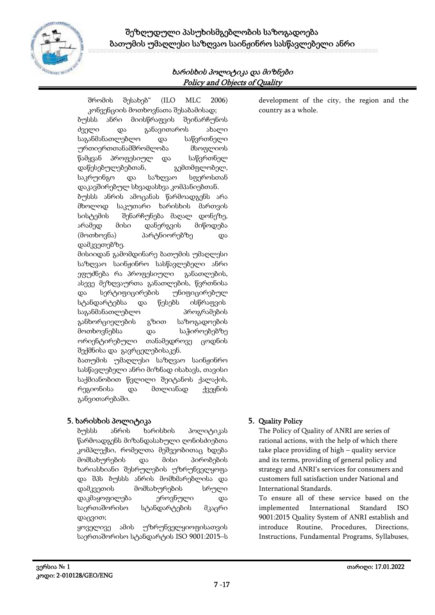

შრომის შესახებ" (ILO MLC 2006) კონვენციის მოთხოვნათა შესაბამისად; ბუსსს ანრი მიისწრაფვის შეინარჩუნოს ძველი და განავითაროს ახალი საგანმანათლებლო და საწვრთნელი ურთიერთთანამშრომლობა მსოფლიოს წამყვან პროფესიულ და საწვრთნელ დაწესებულებებთან, გემთმფლობელ, საკრუინგო და საზღვაო სფეროსთან დაკავშირებულ სხვადასხვა კომპანიებთან. ბუსსს ანრის ამოცანას წარმოადგენს არა მხოლოდ საკუთარი ხარისხის მართვის სისტემის შენარჩუნება მაღალ დონეზე, არამედ მისი დანერგვის მიწოდება (მოთხოვნა) პარტნიორებზე და დამკვეთებზე. მისიიდან გამომდინარე ბათუმის უმაღლესი საზღვაო საინჟინრო სასწავლებელი ანრი ეფუძნება რა პროფესიული განათლების, ასევე მეზღვაურთა განათლების, წვრთნისა და სერტიფიცირების უნიფიცირებულ სტანდარტებსა და წესებს ისწრაფვის საგანმანათლებლო პროგრამების განხორციელების გზით საზოგადოების მოთხოვნებსა და საჭიროებებზე ორიენტირებული თანამედროვე ცოდნის შექმნისა და გავრცელებისაკენ. ბათუმის უმაღლესი საზღვაო საინჟინრო სასწავლებელი ანრი მიზნად ისახავს, თავისი საქმიანობით წვლილი შეიტანოს ქალაქის, რეგიონისა და მთლიანად ქვეყნის განვითარებაში.

#### **5. ხარისხის პოლიტიკა**

ბუსსს ანრის ხარისხის პოლიტიკას წარმოადგენს მიზანდასახული ღონისძიებთა კომპლექსი, რომელთა მეშვეობითაც ხდება მომსახურების და მისი პირობების ხარიასხიანი შესრულების უზრუნველყოფა და შპს ბუსსს ანრის მომხმარებლისა და დამკვეთის მომსახურების სრული დაკმაყოფილება ეროვნული და საერთაშორისო სტანდარტების მკაცრი დაცვით;

ყოველივე ამის უზრუნველყიოფისათვის საერთაშორისო სტანდარტის ISO 9001:2015–ს development of the city, the region and the country as a whole.

#### **5. Quality Policy**

The Policy of Quality of ANRI are series of rational actions, with the help of which there take place providing of high – quality service and its terms, providing of general policy and strategy and ANRI's services for consumers and customers full satisfaction under National and International Standards.

To ensure all of these service based on the implemented International Standard ISO 9001:2015 Quality System of ANRI establish and introduce Routine, Procedures, Directions, Instructions, Fundamental Programs, Syllabuses,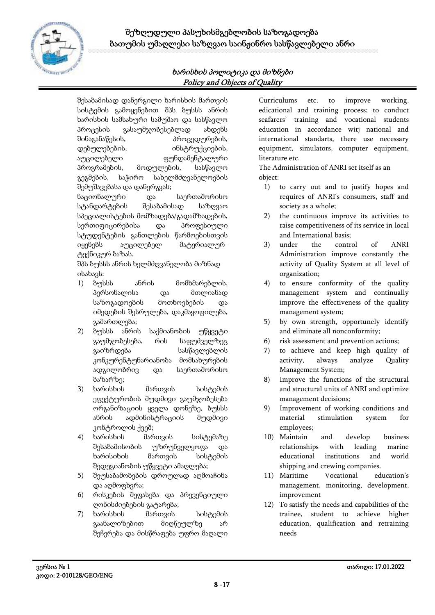

შესაბამისად დანერგილი ხარისხის მართვის სისტემის გამოყენებით შპს ბუსსს ანრის ხარისხის სამსახური სამუშაო და სასწავლო პროცესის გასაუმჯობესებლად ახდენს შინაგანაწესის, პროცედურების, დებულებების, ინსტრუქციების, აუცილებელი ფუნდამენტალური პროგრამების, მოდულების, სასწავლო გეგმების, საჭირო სახელმძღვანელოების შემუშავებასა და დანერგვას; ნაციონალური და საერთაშორისო სტანდარტების შესაბამისად საზღვაო სპეციალისტების მომზადება/გადამზადების, სერთიფიცირებისა და პროფესიული

სტუდენტების განთლების წარმოებისთვის იყენებს აუცილებელ მატერიალურ ტექნიკურ ბაზას.

შპს ბუსსს ანრის ხელმძღვანელობა მიზნად ისახავს:

- 1) ბუსსს ანრის მომხმარებლის, პერსონალისა და მთლიანად საზოგადოების მოთხოვნების და იმედების შესრულება, დაკმაყოფილება, გამართლება;
- 2) ბუსსს ანრის საქმიანობის უწყვეტი გაუმჯობესება, რის საფუძველზეც გაიზრდება სასწავლებლის კონკურენტუნარიანობა მომსახურების ადგილობრივ და საერთაშორისო ბაზარზე;
- 3) ხარისხის მართვის სისტემის ეფექტურობის მუდმივი გაუმჯობესება ორგანიზაციის ყველა დონეზე, ბუსსს ანრის ადმინისტრაციის მუდმივი კონტროლის ქვეშ;
- 4) ხარისხის მართვის სისტემაზე შესაბამისობის უზრუნველყოფა და ხარისიხის მართვის სისტემის შედეგიანობის უწყვეტი ამაღლება;
- 5) შეუსაბამობების დროულად აღმოაჩინა და აღმოფხვრა;
- 6) რისკების შეფასება და პრევენციული ღონისძიებების გატარება;
- 7) ხარისხის მართვის სისტემის გაანალიზებით მიღწეულზე არ შეჩერება და მისწრაფება უფრო მაღალი

Curriculums etc. to improve working, edicational and training process; to conduct seafarers' training and vocational students education in accordance witj national and international standarts, there use necessary equipment, simulators, computer equipment, literature etc.

The Administration of ANRI set itself as an object:

- 1) to carry out and to justify hopes and requires of ANRI's consumers, staff and society as a whole;
- 2) the continuous improve its activities to raise competitiveness of its service in local and International basis;
- 3) under the control of ANRI Administration improve constantly the activity of Quality System at all level of organization;
- 4) to ensure conformity of the quality management system and continually improve the effectiveness of the quality management system;
- 5) by own strength, opportunely identify and eliminate all nonconformity;
- 6) risk assessment and prevention actions;
- 7) to achieve and keep high quality of activity, always analyze Quality Management System;
- 8) Improve the functions of the structural and structural units of ANRI and optimize management decisions;
- 9) Improvement of working conditions and material stimulation system for employees;
- 10) Maintain and develop business relationships with leading marine educational institutions and world shipping and crewing companies.
- 11) Maritime Vocational education's management, monitoring, development, improvement
- 12) To satisfy the needs and capabilities of the trainee, student to achieve higher education, qualification and retraining needs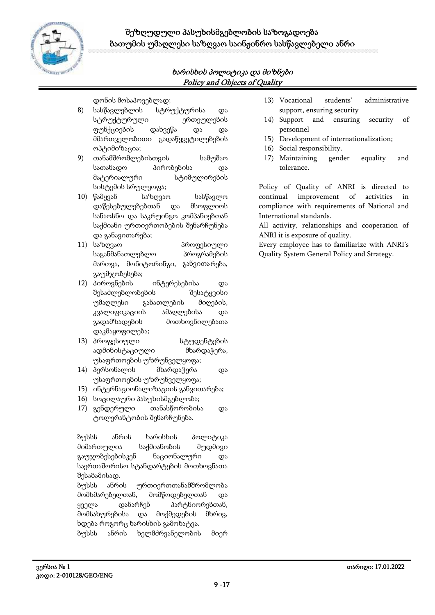

დონის მოსაპოვებლად;

- 8) სასწავლებლის სტრუქტურისა და სტრუქტურული ერთეულების ფუნქციების დახვეწა და და მმართველობითი გადაწყვეტილებების ოპტიმიზაცია;
- 9) თანამშრომლებისთვის სამუშაო სათანადო პირობებისა და მატერიალური სტიმულირების სისტემის სრულყოფა;
- 10) წამყვან საზღვაო სასწავლო დაწესებულებებთან და მსოფლიოს სანაოსნო და საკრუინგო კომპანიებთან საქმიანი ურთიერთობების შენარჩუნება და განავითარება;
- 11) საზღვაო პროფესიული საგანმანათლებლო პროგრამების მართვა, მონიტორინგი, განვითარება, გაუმჯობესება;
- 12) პიროვნების ინტერესებისა და შესაძლებლობების შესატყვისი უმაღლესი განათლების მიღების, კვალიფიკაციის ამაღლებისა და გადამზადების მოთხოვნილებათა დაკმაყოფილება;
- 13) პროფესიული სტუდენტების ადმინისტაციული მხარდაჭერა, უსაფრთოების უზრუნველყოფა;
- 14) პერსონალის მხარდაჭერა და უსაფრთოების უზრუნველყოფა;
- 15) ინტერნაციონალიზაციის განვითარება;
- 16) სოცილაური პასუხისმგებლობა;
- 17) გენდერული თანასწორობისა და ტოლერანტობის შენარჩუნება.

ბუსსს ანრის ხარისხის პოლიტიკა მიმართულია საქმიანობის მუდმივი გაუჯობესებისკენ ნაციონალური და საერთაშორისო სტანდარტების მოთხოვნათა შესაბამისად.

ბუსსს ანრის ურთიერთთანამშრომლობა მომხმარებელთან, მომწოდებელთან და ყველა დანარჩენ პარტნიორებთან, მომსახურებისა და მოქმედების მხრივ, ხდება როგორც ხარისხის გამოხატვა. ბუსსს ანრის ხელმძრვანელობის მიერ

- 13) Vocational students' administrative support, ensuring security
- 14) Support and ensuring security of personnel
- 15) Development of internationalization;
- 16) Social responsibility.
- 17) Maintaining gender equality and tolerance.

Policy of Quality of ANRI is directed to improvement of activities in compliance with requirements of National and International standards.

All activity, relationships and cooperation of ANRI it is exposure of quality.

Every employee has to familiarize with ANRI's Quality System General Policy and Strategy.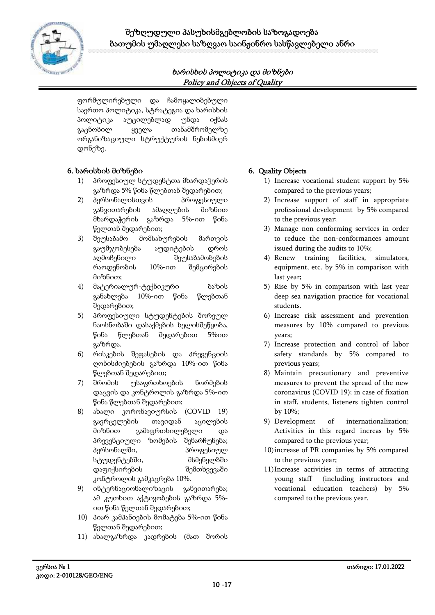

ფორმულირებული და ჩამოყალიბებული საერთო პოლიტიკა, სტრატეგია და ხარისხის პოლიტიკა აუცილებლად უნდა იქნას გაცნობილ ყველა თანამშრომელზე ორგანიზაციული სტრუქტურის ნებისმიერ დონეზე.

#### **6. ხარისხის მიზნები**

- 1) პროფესიულ სტუდენტთა მხარდაჭერის გაზრდა 5% წინა წლებთან შედარებით;
- 2) პერსონალისთვის პროფესიული განვითარების ამაღლების მიზნით მხარდაჭერის გაზრდა 5%-ით წინა წელთან შედარებით;
- 3) შეუსაბამო მომსახურების მართვის გაუმჯობესება აუდიტების დროს აღმოჩენილი შეუსაბამობების რაოდენობის 10%-ით შემცირების მიზნით;
- 4) მატერიალურ-ტექნიკური ბაზის განახლება 10%-ით წინა წლებთან შედარებით;
- 5) პროფესიული სტუდენტების შორეულ ნაოსნობაში დასაქმების ხელისშეწყობა, წინა წლებთან შედარებით 5%ით გაზრდა.
- 6) რისკების შეფასების და პრევენციის ღონისძიებების გაზრდა 10%-ით წინა წლებთან შედარებით;
- 7) შრომის უსაფრთხოების ნორმების დაცვის და კონტროლის გაზრდა 5%-ით წინა წლებთან შედარებით;
- 8) ახალი კორონავიურსის (COVID 19) გავრცელების თავიდან აცილების მიზნით გამაფრთხილებელი და პრევენციული ზომების შენარჩუნება; პერსონალში, პროფესიულ სტუდენტებში, მსმენელბში დაფიქსირების შემთხვევაში კონტროლის გამკაცრება 10%.
- 9) ინტერნაციონალიზაცის განვითარება; ამ კუთხით აქტივობების გაზრდა 5% ით წინა წელთან შედარებით;
- 10) პიარ კამპანიების მომატება 5%-ით წინა წელთან შედარებით;
- 11) ახალგაზრდა კადრების (მათ შორის

#### **6. Quality Objects**

- 1) Increase vocational student support by 5% compared to the previous years;
- 2) Increase support of staff in appropriate professional development by 5% compared to the previous year;
- 3) Manage non-conforming services in order to reduce the non-conformances amount issued during the audits to 10%;
- 4) Renew training facilities, simulators, equipment, etc. by 5% in comparison with last year;
- 5) Rise by 5% in comparison with last year deep sea navigation practice for vocational students.
- 6) Increase risk assessment and prevention measures by 10% compared to previous years;
- 7) Increase protection and control of labor safety standards by 5% compared to previous years;
- 8) Maintain precautionary and preventive measures to prevent the spread of the new coronavirus (COVID 19); in case of fixation in staff, students, listeners tighten control by 10%;
- 9) Development of internationalization; Activities in this regard increas by 5% compared to the previous year;
- 10)increase of PR companies by 5% compared to the previous year;
- 11)Increase activities in terms of attracting young staff (including instructors and vocational education teachers) by 5% compared to the previous year.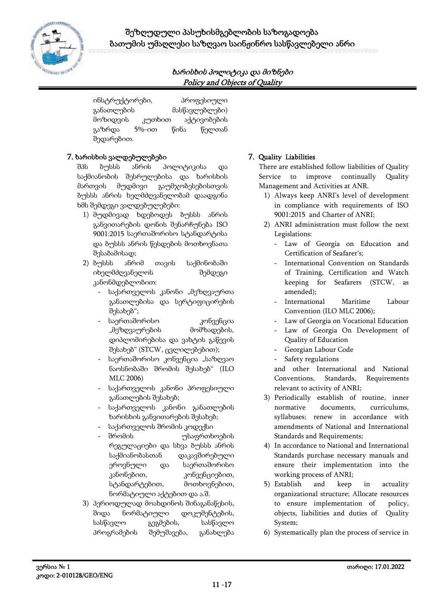

ინსტრუქტორები, პროფესიული განათლების მასწავლებლები) მოზიდვის კუთხით აქტივობების გაზრდა 5%-ით წინა წელთან შედარებით.

#### **7. ხარისხის ვალდებულებები**

შპს ბუსსს ანრის პოლიტიკისა და საქმიანობის შესრულებისა და ხარისხის მართვის მუდმივი გაუმჯობესებისთვის ბუსსს ანრის ხელმძღვანელობამ დაადგინა ხმს შემდეგი ვალდებულებები:

- 1) მუდმივად ხდებოდეს ბუსსს ანრის განვითარების დონის შენარჩუნება ISO 9001:2015 საერთაშორისო სტანდარტისა და ბუსსს ანრის წესდების მოთხოვნათა შესაბამისად;
- 2) ბუსსს ანრიმ თავის საქმინობაში იხელმძღვანელოს შემდეგი კანონმდებლობით:
	- საქართველოს კანონი "მეზღვაურთა განათლებისა და სერტიფიცირების შესახებ";
	- საერთაშორისო კონვენცია "მეზღვაურების მომზადების, დიპლომირებისა და ვახტის გაწევის შესახებ" (STCW, ცვლილებებით);
	- საერთაშორისო კონვენცია "საზღვაო ნაოსნობაში შრომის შესახებ" (ILO MLC 2006)
	- საქართველოს კანონი პროფესიული განათლების შესახებ;
	- საქართველოს კანონი განათლების ხარისხის განვითარების შესახებ;
	- საქართველოს შრომის კოდექსი
	- შრომის უსაფრთხოების რეგულაციები და სხვა ბუსსს ანრის საქმიანობასთან დაკავშირებული ეროვნული და საერთაშორისო კანონებით, კონვენციებით, სტანდარტებით, მოთხოვნებით, ნორმატიული აქტებით და ა.შ.
- 3) პერიოდულად მოახდინოს შინაგანაწესის, შიდა ნორმატიული დოკუმენტების, სასწავლო გეგმების, სასწავლო პროგრამების შემუშავება, განახლება

#### **7. Quality Liabilities**

There are established follow liabilities of Quality Service to improve continually Quality Management and Activities at ANR.

- 1) Always keep ANRI's level of development in compliance with requirements of ISO 9001:2015 and Charter of ANRI;
- 2) ANRI administration must follow the next Legislations:
	- Law of Georgia on Education and Certification of Seafarer's;
	- International Convention on Standards of Training, Certification and Watch keeping for Seafarers (STCW, as amended);
	- International Maritime Labour Convention (ILO MLC 2006);
	- Law of Georgia on Vocational Education
	- Law of Georgia On Development of Quality of Education
	- Georgian Labour Code
	- Safety regulations

and other International and National Conventions, Standards, Requirements relevant to activity of ANRI;

- 3) Periodically establish of routine, inner normative documents, curriculums, syllabuses; renew in accordance with amendments of National and International Standards and Requirements;
- 4) In accordance to National and International Standards purchase necessary manuals and ensure their implementation into the working process of ANRI;
- 5) Establish and keep in actuality organizational structure; Allocate resources to ensure implementation of policy, objects, liabilities and duties of Quality System;
- 6) Systematically plan the process of service in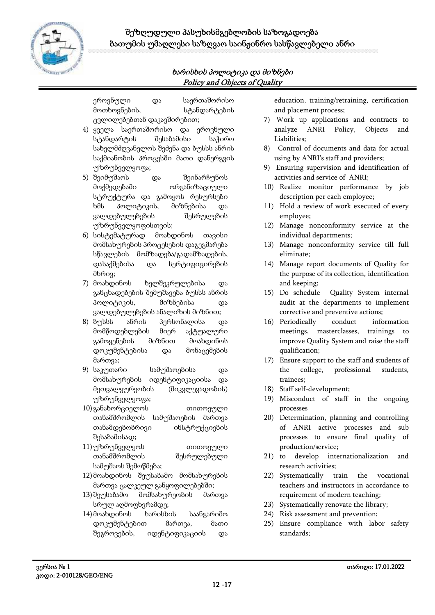

ეროვნული და საერთაშორისო მოთხოვნების, სტანდარტების ცვლილებებთან დაკავშირებით;

- 4) ყველა საერთაშორისო და ეროვნული სტანდარტის შესაბამისი საჭირო სახელმძღვანელოს შეძენა და ბუსსს ანრის საქმიანობის პროცესში მათი დანერგვის უზრუნველყოფა;
- 5) შეიმუშაოს და შეინარჩუნოს მოქმედებაში ორგანიზაციული სტრუქტურა და გამოყოს რესურსები ხმს პოლიტიკის, მიზნებისა და ვალდებულებების შესრულების უზრუნველყოფისთვის;
- 6) სისტემატურად მოახდინოს თავისი მომსახურების პროცესების დაგეგმარება სწავლების მომზადება/გადამზადების, დასაქმებისა და სერტიფიცირების მხრივ;
- 7) მოახდინოს ხელშეკრულებისა და განცხადებების შემუშავება ბუსსს ანრის პოლიტიკის, მიზნებისა და ვალდებულებების ანალიზის მიზნით;
- 8) ბუსსს ანრის პერსონალისა და მომწოდებლების მიერ აქტუალური გამოყენების მიზნით მოახდინოს დოკუმენტებისა და მონაცემების მართვა;
- 9) საკუთარი სამუშაოებისა და მომსახურების იდენტიფიკაციისა და მეთვალყურეობის (მიკვლევადობის) უზრუნველყოფა;
- 10) განახორციელოს თითოეული თანამშრომლის სამუშაოების მართვა თანამდებობრივი ინსტრუქციების შესაბამისად;
- 11)უზრუნველყოს თითოეული თანამშრომლის შესრულებული სამუშაოს შემოწმება;
- 12) მოახდინოს შეუსაბამო მომსახურების მართვა ცალკეულ განყოფილებებში;
- 13) შეუსაბამო მომსახურეობის მართვა სრულ აღმოფხვრამდე;
- 14) მოახდინოს ხარისხის საანგარიშო დოკუმენტებით მართვა, მათი შეგროვების, იდენტიფიკაციის და

education, training/retraining, certification and placement process;

- 7) Work up applications and contracts to analyze ANRI Policy, Objects and Liabilities;
- 8) Control of documents and data for actual using by ANRI's staff and providers;
- 9) Ensuring supervision and identification of activities and service of ANRI;
- 10) Realize monitor performance by job description per each employee;
- 11) Hold a review of work executed of every employee;
- 12) Manage nonconformity service at the individual departments;
- 13) Manage nonconformity service till full eliminate;
- 14) Manage report documents of Quality for the purpose of its collection, identification and keeping;
- 15) Do schedule Quality System internal audit at the departments to implement corrective and preventive actions;
- 16) Periodically conduct information meetings, masterclasses, trainings to improve Quality System and raise the staff qualification;
- 17) Ensure support to the staff and students of the college, professional students, trainees;
- 18) Staff self-development;
- 19) Misconduct of staff in the ongoing processes
- 20) Determination, planning and controlling of ANRI active processes and sub processes to ensure final quality of production/service;
- 21) to develop internationalization and research activities;
- 22) Systematically train the vocational teachers and instructors in accordance to requirement of modern teaching;
- 23) Systematically renovate the library;
- 24) Risk assessment and prevention;
- 25) Ensure compliance with labor safety standards;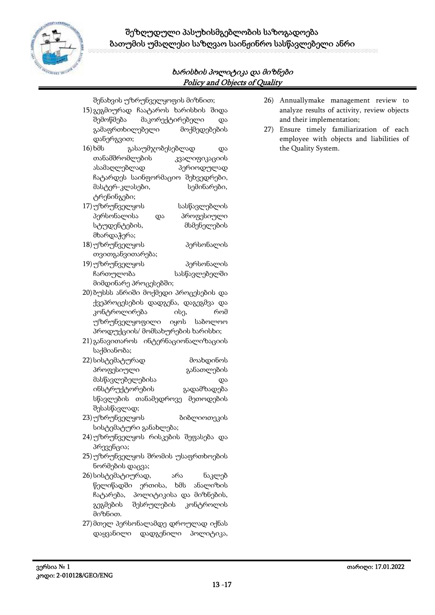

შენახვის უზრუნველყოფის მიზნით;

- 15) გეგმიურად ჩაატაროს ხარისხის შიდა შემოწმება მაკორექტირებელი და გამაფრთხილებელი მოქმედებების დანერგვით;
- 16)ხმს გასაუმჯობესებლად და თანამშრომლების კვალიფიკაციის ასამაღლებლად პერიოდულად ჩატარდეს საინფორმაციო შეხვედრები, მასტერ-კლასები, სემინარები, ტრენინგები;
- 17)უზრუნველყოს სასწავლებლის პერსონალისა და პროფესიული სტუდენტების, მსმენელების მხარდაჭერა;
- 18)უზრუნველყოს პერსონალის თვითგანვითარება;
- 19)უზრუნველყოს პერსონალის ჩართულობა სასწავლებელში მიმდინარე პროცესებში;
- 20) ბუსსს ანრიში მოქმედი პროცესების და ქვეპროცესების დადგენა, დაგეგმვა და კონტროლირება ისე, რომ უზრუნველყოფილი იყოს საბოლოო პროდუქციის/ მომსახურების ხარისხი;
- 21) განავითაროს ინტერნაციონალიზაციის საქმიანობა;
- 22) სისტემატურად მოახდინოს პროფესიული განათლების მასწავლებელებისა და ინსტრუქტორების გადამზადება სწავლების თანამედროვე მეთოდების შესასწავლად;
- 23)უზრუნველყოს ბიბლიოთეკის სისტემატური განახლება;
- 24)უზრუნველყოს რისკების შეფასება და პრევენცია;
- 25)უზრუნველყოს შრომის უსაფრთხოების ნორმების დაცვა;
- 26) სისტემატიურად, არა ნაკლებ წელიწადში ერთისა, ხმს ანალიზის ჩატარება, პოლიტიკისა და მიზნების, გეგმების შესრულების კონტროლის მიზნით.
- 27) მთელ პერსონალამდე დროულად იქნას დაყვანილი დადგენილი პოლიტიკა,
- 26) Annuallymake management review to analyze results of activity, review objects and their implementation;
- 27) Ensure timely familiarization of each employee with objects and liabilities of the Quality System.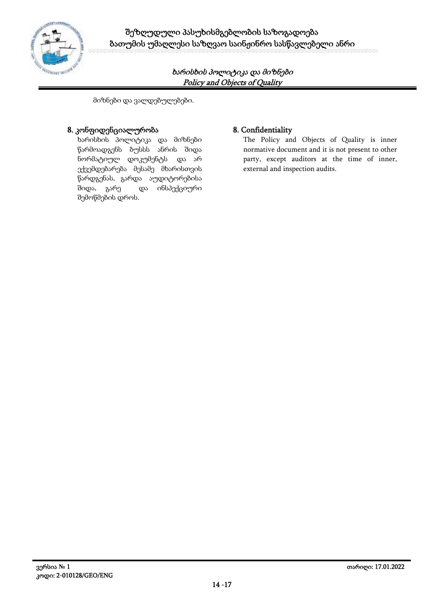

მიზნები და ვალდებულებები.

#### **8. კონფიდენციალურობა 8. Confidentiality**

ხარისხის პოლიტიკა და მიზნები წარმოადგენს ბუსსს ანრის შიდა ნორმატიულ დოკუმენტს და არ ექვემდებარება მესამე მხარისთვის წარდგენას, გარდა აუდიტორებისა შიდა, გარე და ინსპექციური შემოწმების დროს.

The Policy and Objects of Quality is inner normative document and it is not present to other party, except auditors at the time of inner, external and inspection audits.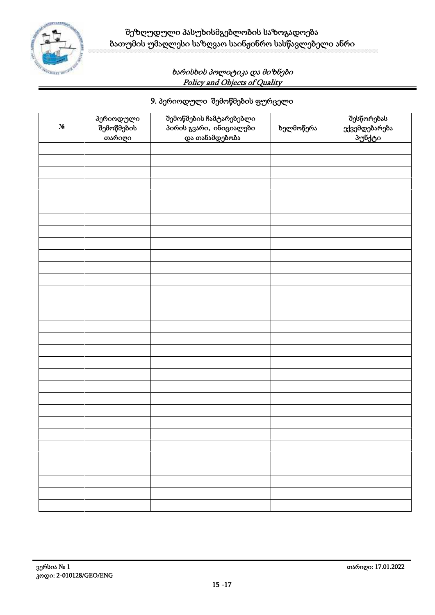

# **9. პერიოდული შემოწმების ფურცელი**

| $\mathbf{N}_2$ | პერიოდული<br>შემოწმების<br>თარიღი | შემოწმების ჩამტარებებლი<br>პირის გვარი, ინიციალები<br>და თანამდებობა | ხელმოწერა | შესწორებას |
|----------------|-----------------------------------|----------------------------------------------------------------------|-----------|------------|
|                |                                   |                                                                      |           |            |
|                |                                   |                                                                      |           |            |
|                |                                   |                                                                      |           |            |
|                |                                   |                                                                      |           |            |
|                |                                   |                                                                      |           |            |
|                |                                   |                                                                      |           |            |
|                |                                   |                                                                      |           |            |
|                |                                   |                                                                      |           |            |
|                |                                   |                                                                      |           |            |
|                |                                   |                                                                      |           |            |
|                |                                   |                                                                      |           |            |
|                |                                   |                                                                      |           |            |
|                |                                   |                                                                      |           |            |
|                |                                   |                                                                      |           |            |
|                |                                   |                                                                      |           |            |
|                |                                   |                                                                      |           |            |
|                |                                   |                                                                      |           |            |
|                |                                   |                                                                      |           |            |
|                |                                   |                                                                      |           |            |
|                |                                   |                                                                      |           |            |
|                |                                   |                                                                      |           |            |
|                |                                   |                                                                      |           |            |
|                |                                   |                                                                      |           |            |
|                |                                   |                                                                      |           |            |
|                |                                   |                                                                      |           |            |
|                |                                   |                                                                      |           |            |
|                |                                   |                                                                      |           |            |
|                |                                   |                                                                      |           |            |
|                |                                   |                                                                      |           |            |
|                |                                   |                                                                      |           |            |
|                |                                   |                                                                      |           |            |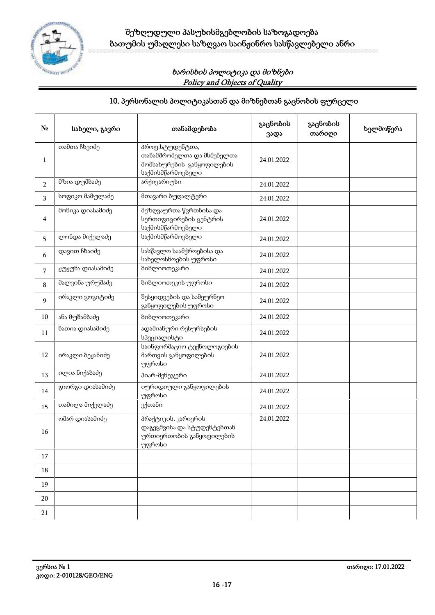

# **10. პერსონალის პოლიტიკასთან და მიზნებთან გაცნობის ფურცელი**

|                | სახელი, გავრი    | თანამდებობა                                                                                     | გაცნობის<br>ვადა | გაცნობის<br>თარიღი | ხელმოწერა |
|----------------|------------------|-------------------------------------------------------------------------------------------------|------------------|--------------------|-----------|
| $\mathbf{1}$   | თამთა ჩხეიძე     | პროფ.სტუდენტთა,<br>თანამშრომელთა და მსმენელთა<br>მომსახურების განყოფილების<br>საქმისმწარმოებელი | 24.01.2022       |                    |           |
| $\overline{2}$ | მზია დუმბაძე     | არქივარიუსი                                                                                     | 24.01.2022       |                    |           |
| 3              | სოფიკო მამულაძე  | მთავარი ბუღალტერი                                                                               | 24.01.2022       |                    |           |
| 4              | მონიკა დიასამიძე | მეზღვაურთა წვრთნისა და<br>სერთიფიცირების ცენტრის<br>საქმისმწარმოებელი                           | 24.01.2022       |                    |           |
| 5              | ლონდა მიქელაძე   | საქმისმწარმოებელი                                                                               | 24.01.2022       |                    |           |
| 6              | დავით ჩხაიძე     | სასწავლო საამქროებისა და<br>სახელოსნოების უფროსი                                                | 24.01.2022       |                    |           |
| 7              | ჟუჟუნა დიასამიძე | ბიბლიოთეკარი                                                                                    | 24.01.2022       |                    |           |
| 8              | მალვინა ურუშაძე  | ბიბლიოთეკის უფროსი                                                                              | 24.01.2022       |                    |           |
| 9              | ირაკლი გოგიტიძე  | შესყიდვების და სამეურნეო<br>განყოფილების უფროსი                                                 | 24.01.2022       |                    |           |
| $10\,$         | ანა მუშამბაძე    | ბიბლიოთეკარი                                                                                    | 24.01.2022       |                    |           |
| 11             | ნათია დიასამიძე  | ადამიანური რესურსების<br>სპეციალისტი                                                            | 24.01.2022       |                    |           |
| 12             | ირაკლი ბეჟანიძე  | საინფორმაციო ტექნოლოგიების<br>მართვის განყოფილების<br>უფროსი                                    | 24.01.2022       |                    |           |
| 13             | ილია ნიქაბაძე    | პიარ-მენეჯერი                                                                                   | 24.01.2022       |                    |           |
| 14             | გიორგი დიასამიძე | იურიდიული განყოფილების<br>უფროსი                                                                | 24.01.2022       |                    |           |
| 15             | თამილა მიქელაძე  | ექთანი                                                                                          | 24.01.2022       |                    |           |
| 16             | ომარ დიასამიძე   | პრაქტიკის, კარიერის<br>დაგეგმვისა და სტუდენტებთან<br>ურთიერთობის განყოფილების<br>უფროსი         | 24.01.2022       |                    |           |
| 17             |                  |                                                                                                 |                  |                    |           |
| 18             |                  |                                                                                                 |                  |                    |           |
| 19             |                  |                                                                                                 |                  |                    |           |
| 20             |                  |                                                                                                 |                  |                    |           |
| 21             |                  |                                                                                                 |                  |                    |           |